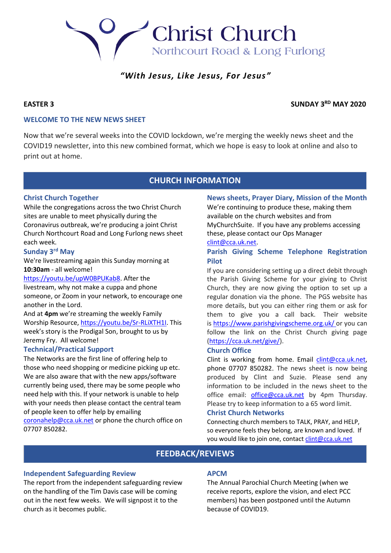# **Christ Church** Northcourt Road & Long Furlong

# *"With Jesus, Like Jesus, For Jesus"*

# **EASTER 3 SUNDAY 3RD MAY 2020**

# **WELCOME TO THE NEW NEWS SHEET**

Now that we're several weeks into the COVID lockdown, we're merging the weekly news sheet and the COVID19 newsletter, into this new combined format, which we hope is easy to look at online and also to print out at home.

# **CHURCH INFORMATION**

# **Christ Church Together**

While the congregations across the two Christ Church sites are unable to meet physically during the Coronavirus outbreak, we're producing a joint Christ Church Northcourt Road and Long Furlong news sheet each week.

### **Sunday 3rd May**

We're livestreaming again this Sunday morning at **10:30am** - all welcome!

[https://youtu.be/upW0BPUKab8.](https://youtu.be/upW0BPUKab8) After the livestream, why not make a cuppa and phone someone, or Zoom in your network, to encourage one another in the Lord.

And at **4pm** we're streaming the weekly Family Worship Resource, [https://youtu.be/Sr-RLiXTH1I.](https://youtu.be/Sr-RLiXTH1I) This week's story is the Prodigal Son, brought to us by Jeremy Fry. All welcome!

# **Technical/Practical Support**

The Networks are the first line of offering help to those who need shopping or medicine picking up etc. We are also aware that with the new apps/software currently being used, there may be some people who need help with this. If your network is unable to help with your needs then please contact the central team of people keen to offer help by emailing

[coronahelp@cca.uk.net](file:///C:/Users/Suzie/Downloads/coronahelp@cca.uk.net) or phone the church office on 07707 850282.

# **News sheets, Prayer Diary, Mission of the Month**

We're continuing to produce these, making them available on the church websites and from MyChurchSuite. If you have any problems accessing these, please contact our Ops Manager

#### [clint@cca.uk.net.](file:///C:/Users/Suzie/Downloads/clint@cca.uk.net)

# **Parish Giving Scheme Telephone Registration Pilot**

If you are considering setting up a direct debit through the Parish Giving Scheme for your giving to Christ Church, they are now giving the option to set up a regular donation via the phone. The PGS website has more details, but you can either ring them or ask for them to give you a call back. Their website is [https://www.parishgivingscheme.org.uk/](https://www.parishgivingscheme.org.uk/ ) or you can follow the link on the Christ Church giving page [\(https://cca.uk.net/give/\)](https://cca.uk.net/give/).

# **Church Office**

Clint is working from home. Email [clint@cca.uk.net,](file:///C:/Users/Suzie/Downloads/clint@cca.uk.net) phone 07707 850282. The news sheet is now being produced by Clint and Suzie. Please send any information to be included in the news sheet to the office email: [office@cca.uk.net](file:///C:/Users/Suzie/Downloads/office@cca.uk.net) by 4pm Thursday. Please try to keep information to a 65 word limit.

#### **Christ Church Networks**

Connecting church members to TALK, PRAY, and HELP, so everyone feels they belong, are known and loved. If you would like to join one, contact [clint@cca.uk.net](file:///C:/Users/Suzie/Downloads/clint@cca.uk.net) 

# **FEEDBACK/REVIEWS**

# **Independent Safeguarding Review**

The report from the independent safeguarding review on the handling of the Tim Davis case will be coming out in the next few weeks. We will signpost it to the church as it becomes public.

# **APCM**

The Annual Parochial Church Meeting (when we receive reports, explore the vision, and elect PCC members) has been postponed until the Autumn because of COVID19.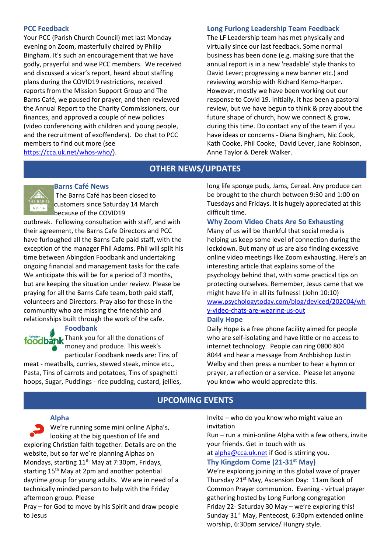### **PCC Feedback**

Your PCC (Parish Church Council) met last Monday evening on Zoom, masterfully chaired by Philip Bingham. It's such an encouragement that we have godly, prayerful and wise PCC members. We received and discussed a vicar's report, heard about staffing plans during the COVID19 restrictions, received reports from the Mission Support Group and The Barns Café, we paused for prayer, and then reviewed the Annual Report to the Charity Commissioners, our finances, and approved a couple of new policies (video conferencing with children and young people, and the recruitment of exoffenders). Do chat to PCC members to find out more (see [https://cca.uk.net/whos-who/\)](https://cca.uk.net/whos-who/).

# **Long Furlong Leadership Team Feedback**

The LF Leadership team has met physically and virtually since our last feedback. Some normal business has been done (e.g. making sure that the annual report is in a new 'readable' style thanks to David Lever; progressing a new banner etc.) and reviewing worship with Richard Kemp-Harper. However, mostly we have been working out our response to Covid 19. Initially, it has been a pastoral review, but we have begun to think & pray about the future shape of church, how we connect & grow, during this time. Do contact any of the team if you have ideas or concerns - Diana Bingham, Nic Cook, Kath Cooke, Phil Cooke, David Lever, Jane Robinson, Anne Taylor & Derek Walker.

# **OTHER NEWS/UPDATES**

#### **Barns Café News**

The Barns Café has been closed to customers since Saturday 14 March because of the COVID19

outbreak. Following consultation with staff, and with their agreement, the Barns Cafe Directors and PCC have furloughed all the Barns Cafe paid staff, with the exception of the manager Phil Adams. Phil will split his time between Abingdon Foodbank and undertaking ongoing financial and management tasks for the cafe. We anticipate this will be for a period of 3 months, but are keeping the situation under review. Please be praying for all the Barns Cafe team, both paid staff, volunteers and Directors. Pray also for those in the community who are missing the friendship and relationships built through the work of the cafe.

#### **Foodbank**

foodbank Thank you for all the donations of money and produce. This week's particular Foodbank needs are: Tins of

meat - meatballs, curries, stewed steak, mince etc., Pasta, Tins of carrots and potatoes, Tins of spaghetti hoops, Sugar, Puddings - rice pudding, custard, jellies, long life sponge puds, Jams, Cereal. Any produce can be brought to the church between 9:30 and 1:00 on Tuesdays and Fridays. It is hugely appreciated at this difficult time.

# **Why Zoom Video Chats Are So Exhausting**

Many of us will be thankful that social media is helping us keep some level of connection during the lockdown. But many of us are also finding excessive online video meetings like Zoom exhausting. Here's an interesting article that explains some of the psychology behind that, with some practical tips on protecting ourselves. Remember, Jesus came that we might have life in all its fullness! (John 10:10) [www.psychologytoday.com/blog/deviced/202004/wh](file:///C:/Users/Suzie/Downloads/www.psychologytoday.com/blog/deviced/202004/why-video-chats-are-wearing-us-out) [y-video-chats-are-wearing-us-out](file:///C:/Users/Suzie/Downloads/www.psychologytoday.com/blog/deviced/202004/why-video-chats-are-wearing-us-out)

# **Daily Hope**

Daily Hope is a free phone facility aimed for people who are self-isolating and have little or no access to internet technology. People can ring 0800 804 8044 and hear a message from Archbishop Justin Welby and then press a number to hear a hymn or prayer, a reflection or a service. Please let anyone you know who would appreciate this.

# **UPCOMING EVENTS**

#### **Alpha**

We're running some mini online Alpha's, looking at the big question of life and exploring Christian faith together. Details are on the website, but so far we're planning Alphas on Mondays, starting  $11<sup>th</sup>$  May at 7:30pm, Fridays, starting  $15<sup>th</sup>$  May at 2pm and another potential daytime group for young adults. We are in need of a technically minded person to help with the Friday afternoon group. Please

Pray – for God to move by his Spirit and draw people to Jesus

Invite – who do you know who might value an invitation

Run – run a mini-online Alpha with a few others, invite your friends. Get in touch with us

at [alpha@cca.uk.net](mailto:alpha@cca.uk.net) if God is stirring you.

# **Thy Kingdom Come (21-31st May)**

We're exploring joining in this global wave of prayer Thursday 21<sup>st</sup> May, Ascension Day: 11am Book of Common Prayer communion. Evening - virtual prayer gathering hosted by Long Furlong congregation Friday 22- Saturday 30 May – we're exploring this! Sunday  $31<sup>st</sup>$  May, Pentecost, 6:30pm extended online worship, 6:30pm service/ Hungry style.